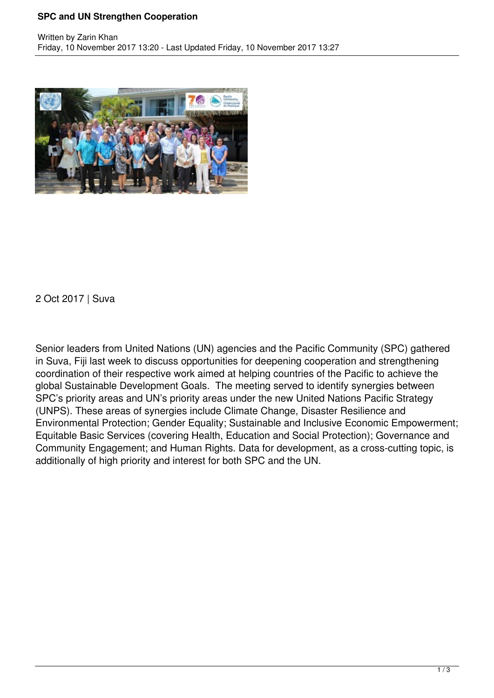## **SPC and UN Strengthen Cooperation**



2 Oct 2017 | Suva

Senior leaders from United Nations (UN) agencies and the Pacific Community (SPC) gathered in Suva, Fiji last week to discuss opportunities for deepening cooperation and strengthening coordination of their respective work aimed at helping countries of the Pacific to achieve the global Sustainable Development Goals. The meeting served to identify synergies between SPC's priority areas and UN's priority areas under the new United Nations Pacific Strategy (UNPS). These areas of synergies include Climate Change, Disaster Resilience and Environmental Protection; Gender Equality; Sustainable and Inclusive Economic Empowerment; Equitable Basic Services (covering Health, Education and Social Protection); Governance and Community Engagement; and Human Rights. Data for development, as a cross-cutting topic, is additionally of high priority and interest for both SPC and the UN.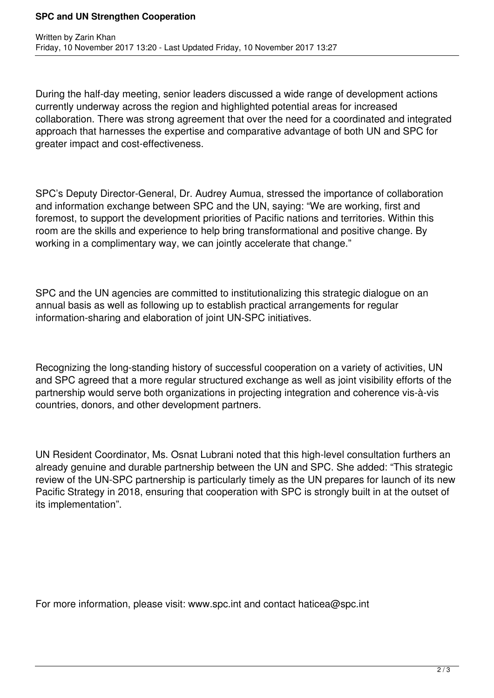## **SPC and UN Strengthen Cooperation**

During the half-day meeting, senior leaders discussed a wide range of development actions currently underway across the region and highlighted potential areas for increased collaboration. There was strong agreement that over the need for a coordinated and integrated approach that harnesses the expertise and comparative advantage of both UN and SPC for greater impact and cost-effectiveness.

SPC's Deputy Director-General, Dr. Audrey Aumua, stressed the importance of collaboration and information exchange between SPC and the UN, saying: "We are working, first and foremost, to support the development priorities of Pacific nations and territories. Within this room are the skills and experience to help bring transformational and positive change. By working in a complimentary way, we can jointly accelerate that change."

SPC and the UN agencies are committed to institutionalizing this strategic dialogue on an annual basis as well as following up to establish practical arrangements for regular information-sharing and elaboration of joint UN-SPC initiatives.

Recognizing the long-standing history of successful cooperation on a variety of activities, UN and SPC agreed that a more regular structured exchange as well as joint visibility efforts of the partnership would serve both organizations in projecting integration and coherence vis-à-vis countries, donors, and other development partners.

UN Resident Coordinator, Ms. Osnat Lubrani noted that this high-level consultation furthers an already genuine and durable partnership between the UN and SPC. She added: "This strategic review of the UN-SPC partnership is particularly timely as the UN prepares for launch of its new Pacific Strategy in 2018, ensuring that cooperation with SPC is strongly built in at the outset of its implementation".

For more information, please visit: www.spc.int and contact haticea@spc.int